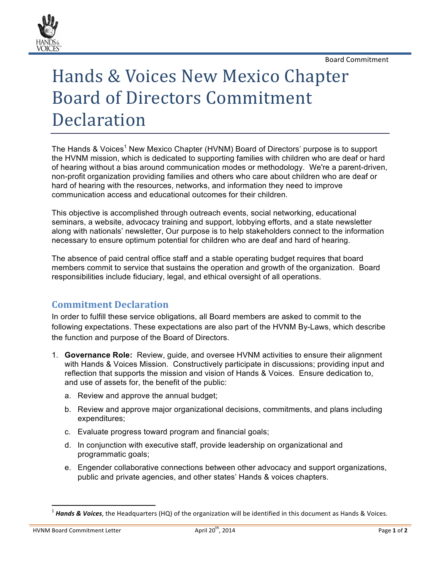Board!Commitment



## Hands & Voices New Mexico Chapter Board of Directors Commitment **Declaration**

The Hands & Voices<sup>1</sup> New Mexico Chapter (HVNM) Board of Directors' purpose is to support the HVNM mission, which is dedicated to supporting families with children who are deaf or hard of hearing without a bias around communication modes or methodology. We're a parent-driven, non-profit organization providing families and others who care about children who are deaf or hard of hearing with the resources, networks, and information they need to improve communication access and educational outcomes for their children.

This objective is accomplished through outreach events, social networking, educational seminars, a website, advocacy training and support, lobbying efforts, and a state newsletter along with nationals' newsletter, Our purpose is to help stakeholders connect to the information necessary to ensure optimum potential for children who are deaf and hard of hearing.

The absence of paid central office staff and a stable operating budget requires that board members commit to service that sustains the operation and growth of the organization. Board responsibilities include fiduciary, legal, and ethical oversight of all operations.

## **Commitment\*Declaration**

In order to fulfill these service obligations, all Board members are asked to commit to the following expectations. These expectations are also part of the HVNM By-Laws, which describe the function and purpose of the Board of Directors.

- 1. **Governance Role:** Review, guide, and oversee HVNM activities to ensure their alignment with Hands & Voices Mission. Constructively participate in discussions; providing input and reflection that supports the mission and vision of Hands & Voices. Ensure dedication to, and use of assets for, the benefit of the public:
	- a. Review and approve the annual budget;
	- b. Review and approve major organizational decisions, commitments, and plans including expenditures;
	- c. Evaluate progress toward program and financial goals;
	- d. In conjunction with executive staff, provide leadership on organizational and programmatic goals;
	- e. Engender collaborative connections between other advocacy and support organizations, public and private agencies, and other states' Hands & voices chapters.

!!!!!!!!!!!!!!!!!!!!!!!!!!!!!!!!!!!!!!!!!!!!!!!!!!!!!!!!!!!!

<sup>&</sup>lt;sup>1</sup> Hands & Voices, the Headquarters (HQ) of the organization will be identified in this document as Hands & Voices.